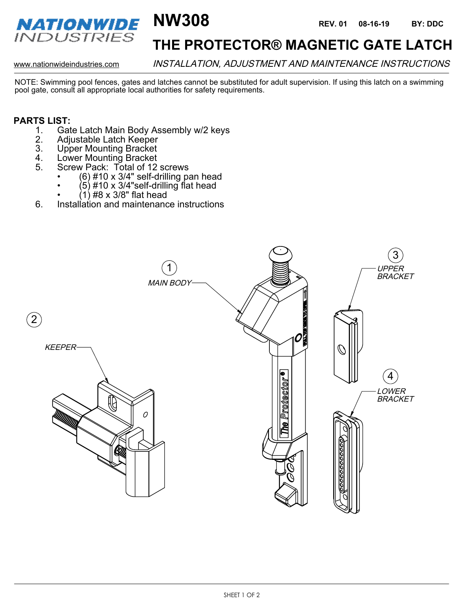

## **THE PROTECTOR® MAGNETIC GATE LATCH**

www.nationwideindustries.com INSTALLATION, ADJUSTMENT AND MAINTENANCE INSTRUCTIONS

NOTE: Swimming pool fences, gates and latches cannot be substituted for adult supervision. If using this latch on a swimming pool gate, consult all appropriate local authorities for safety requirements.

#### **PARTS LIST:**

- 1. Gate Latch Main Body Assembly w/2 keys
- 2. Adjustable Latch Keeper<br>3. Upper Mounting Bracket
- 3. Upper Mounting Bracket<br>4. Lower Mounting Bracket
- 4. Lower Mounting Bracket
- 5. Screw Pack: Total of 12 screws
	- (6) #10 x 3/4" self-drilling pan head
	- (5) #10 x 3/4"self-drilling flat head
	- (1) #8 x 3/8" flat head
- 6. Installation and maintenance instructions